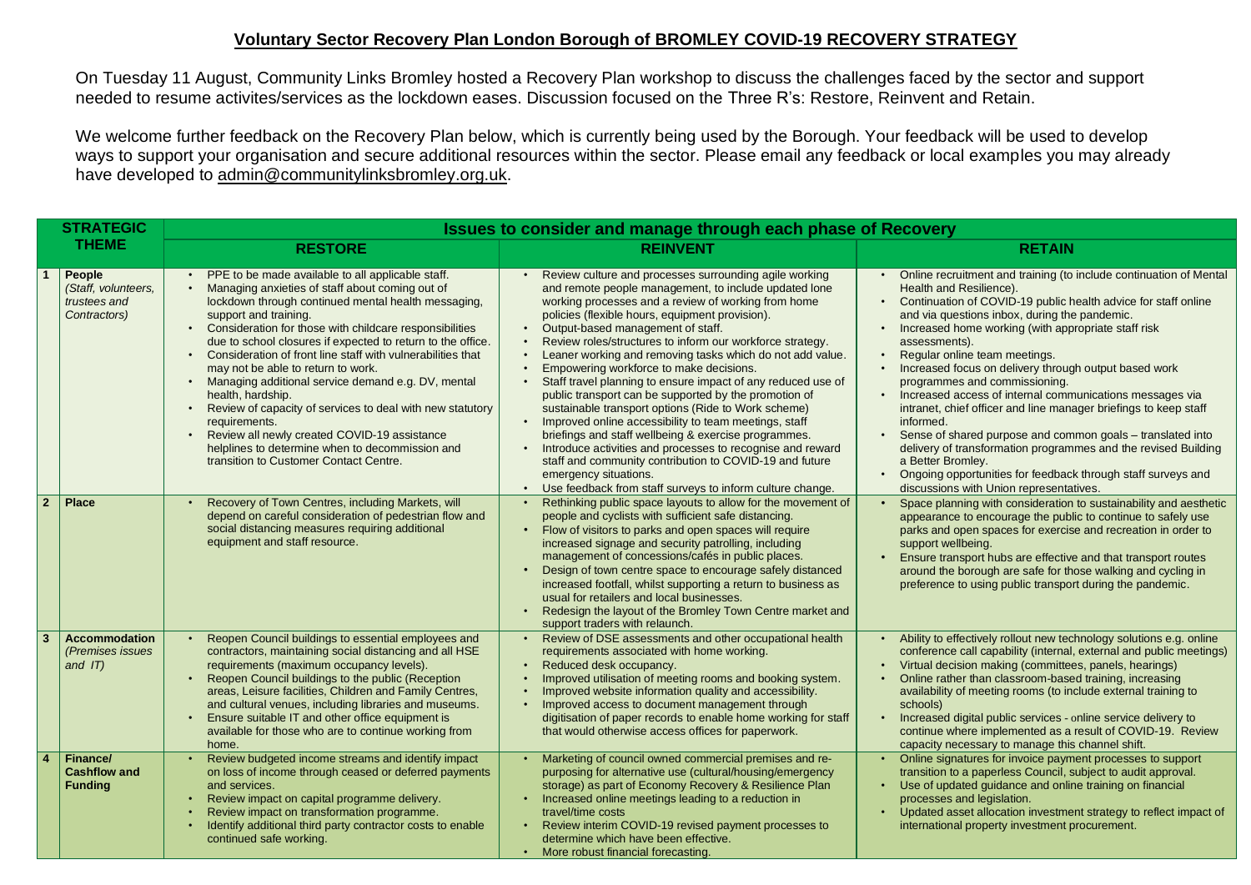## **Voluntary Sector Recovery Plan London Borough of BROMLEY COVID-19 RECOVERY STRATEGY**

We welcome further feedback on the Recovery Plan below, which is currently being used by the Borough. Your feedback will be used to develop ways to support your organisation and secure additional resources within the sector. Please email any feedback or local examples you may already have developed to [admin@communitylinksbromley.org.uk.](mailto:admin@communitylinksbromley.org.uk?subject=Feedback%20on%20Voluntary%20Sector%20Recovery%20Plan)

On Tuesday 11 August, Community Links Bromley hosted a Recovery Plan workshop to discuss the challenges faced by the sector and support needed to resume activites/services as the lockdown eases. Discussion focused on the Three R's: Restore, Reinvent and Retain.

| <b>STRATEGIC</b>                                                      |                                                                                                                                                                                                                                                                                                                                                                                                                                                                                                                                                                                                                                                                                                                           | <b>Issues to consider and manage through each phase of Recovery</b>                                                                                                                                                                                                                                                                                                                                                                                                                                                                                                                                                                                                                                                                                                                                                                                                                                                                                              |                                                                                                                                                                                                                                                                                                                                                                                                                                                                                                                                                                            |
|-----------------------------------------------------------------------|---------------------------------------------------------------------------------------------------------------------------------------------------------------------------------------------------------------------------------------------------------------------------------------------------------------------------------------------------------------------------------------------------------------------------------------------------------------------------------------------------------------------------------------------------------------------------------------------------------------------------------------------------------------------------------------------------------------------------|------------------------------------------------------------------------------------------------------------------------------------------------------------------------------------------------------------------------------------------------------------------------------------------------------------------------------------------------------------------------------------------------------------------------------------------------------------------------------------------------------------------------------------------------------------------------------------------------------------------------------------------------------------------------------------------------------------------------------------------------------------------------------------------------------------------------------------------------------------------------------------------------------------------------------------------------------------------|----------------------------------------------------------------------------------------------------------------------------------------------------------------------------------------------------------------------------------------------------------------------------------------------------------------------------------------------------------------------------------------------------------------------------------------------------------------------------------------------------------------------------------------------------------------------------|
| <b>THEME</b>                                                          | <b>RESTORE</b>                                                                                                                                                                                                                                                                                                                                                                                                                                                                                                                                                                                                                                                                                                            | <b>REINVENT</b>                                                                                                                                                                                                                                                                                                                                                                                                                                                                                                                                                                                                                                                                                                                                                                                                                                                                                                                                                  | <b>RETAIN</b>                                                                                                                                                                                                                                                                                                                                                                                                                                                                                                                                                              |
| People<br>(Staff, volunteers,<br>trustees and<br>Contractors)         | PPE to be made available to all applicable staff.<br>Managing anxieties of staff about coming out of<br>lockdown through continued mental health messaging,<br>support and training.<br>Consideration for those with childcare responsibilities<br>due to school closures if expected to return to the office.<br>Consideration of front line staff with vulnerabilities that<br>may not be able to return to work.<br>Managing additional service demand e.g. DV, mental<br>health, hardship.<br>Review of capacity of services to deal with new statutory<br>requirements.<br>Review all newly created COVID-19 assistance<br>helplines to determine when to decommission and<br>transition to Customer Contact Centre. | Review culture and processes surrounding agile working<br>and remote people management, to include updated lone<br>working processes and a review of working from home<br>policies (flexible hours, equipment provision).<br>Output-based management of staff.<br>$\bullet$<br>Review roles/structures to inform our workforce strategy.<br>Leaner working and removing tasks which do not add value.<br>Empowering workforce to make decisions.<br>Staff travel planning to ensure impact of any reduced use of<br>public transport can be supported by the promotion of<br>sustainable transport options (Ride to Work scheme)<br>Improved online accessibility to team meetings, staff<br>briefings and staff wellbeing & exercise programmes.<br>Introduce activities and processes to recognise and reward<br>staff and community contribution to COVID-19 and future<br>emergency situations.<br>Use feedback from staff surveys to inform culture change. | Online recruitment and training (to<br>Health and Resilience).<br>Continuation of COVID-19 public h<br>and via questions inbox, during the<br>Increased home working (with app<br>assessments).<br>Regular online team meetings.<br>Increased focus on delivery throug<br>programmes and commissioning.<br>Increased access of internal comn<br>intranet, chief officer and line mana<br>informed.<br>Sense of shared purpose and com<br>delivery of transformation program<br>a Better Bromley.<br>Ongoing opportunities for feedbac<br>discussions with Union representa |
| $\overline{2}$<br><b>Place</b>                                        | Recovery of Town Centres, including Markets, will<br>depend on careful consideration of pedestrian flow and<br>social distancing measures requiring additional<br>equipment and staff resource.                                                                                                                                                                                                                                                                                                                                                                                                                                                                                                                           | Rethinking public space layouts to allow for the movement of<br>people and cyclists with sufficient safe distancing.<br>Flow of visitors to parks and open spaces will require<br>increased signage and security patrolling, including<br>management of concessions/cafés in public places.<br>Design of town centre space to encourage safely distanced<br>increased footfall, whilst supporting a return to business as<br>usual for retailers and local businesses.<br>Redesign the layout of the Bromley Town Centre market and<br>support traders with relaunch.                                                                                                                                                                                                                                                                                                                                                                                            | Space planning with consideration<br>appearance to encourage the pub<br>parks and open spaces for exercis<br>support wellbeing.<br>Ensure transport hubs are effective<br>around the borough are safe for th<br>preference to using public transpo                                                                                                                                                                                                                                                                                                                         |
| $\mathbf{3}$<br><b>Accommodation</b><br>(Premises issues<br>and $IT)$ | Reopen Council buildings to essential employees and<br>contractors, maintaining social distancing and all HSE<br>requirements (maximum occupancy levels).<br>Reopen Council buildings to the public (Reception<br>areas, Leisure facilities, Children and Family Centres,<br>and cultural venues, including libraries and museums.<br>Ensure suitable IT and other office equipment is<br>available for those who are to continue working from<br>home.                                                                                                                                                                                                                                                                   | Review of DSE assessments and other occupational health<br>$\bullet$<br>requirements associated with home working.<br>Reduced desk occupancy.<br>Improved utilisation of meeting rooms and booking system.<br>Improved website information quality and accessibility.<br>Improved access to document management through<br>digitisation of paper records to enable home working for staff<br>that would otherwise access offices for paperwork.                                                                                                                                                                                                                                                                                                                                                                                                                                                                                                                  | Ability to effectively rollout new ted<br>conference call capability (internal<br>Virtual decision making (committed<br>Online rather than classroom-base<br>availability of meeting rooms (to in<br>schools)<br>Increased digital public services - o<br>continue where implemented as a<br>capacity necessary to manage this                                                                                                                                                                                                                                             |
| <b>Finance/</b><br><b>Cashflow and</b><br><b>Funding</b>              | Review budgeted income streams and identify impact<br>on loss of income through ceased or deferred payments<br>and services.<br>Review impact on capital programme delivery.<br>Review impact on transformation programme.<br>Identify additional third party contractor costs to enable<br>continued safe working.                                                                                                                                                                                                                                                                                                                                                                                                       | Marketing of council owned commercial premises and re-<br>purposing for alternative use (cultural/housing/emergency<br>storage) as part of Economy Recovery & Resilience Plan<br>Increased online meetings leading to a reduction in<br>travel/time costs<br>Review interim COVID-19 revised payment processes to<br>determine which have been effective.<br>• More robust financial forecasting.                                                                                                                                                                                                                                                                                                                                                                                                                                                                                                                                                                | Online signatures for invoice paym<br>transition to a paperless Council, s<br>Use of updated guidance and onlir<br>processes and legislation.<br>Updated asset allocation investme<br>international property investment p                                                                                                                                                                                                                                                                                                                                                  |

eruitment and training (to include continuation of Mental าd Resilience).

tion of COVID-19 public health advice for staff online uestions inbox, during the pandemic.

d home working (with appropriate staff risk ents).

d focus on delivery through output based work nes and commissioning.

d access of internal communications messages via chief officer and line manager briefings to keep staff

shared purpose and common goals – translated into of transformation programmes and the revised Building Bromley.

opportunities for feedback through staff surveys and Ins with Union representatives.

anning with consideration to sustainability and aesthetic nce to encourage the public to continue to safely use d open spaces for exercise and recreation in order to vellbeing.

ansport hubs are effective and that transport routes ne borough are safe for those walking and cycling in be to using public transport during the pandemic.

effectively rollout new technology solutions e.g. online ce call capability (internal, external and public meetings) ecision making (committees, panels, hearings) ther than classroom-based training, increasing ty of meeting rooms (to include external training to

d digital public services - online service delivery to where implemented as a result of COVID-19. Review necessary to manage this channel shift.

gnatures for invoice payment processes to support to a paperless Council, subject to audit approval. odated guidance and online training on financial s and legislation.

asset allocation investment strategy to reflect impact of inal property investment procurement.